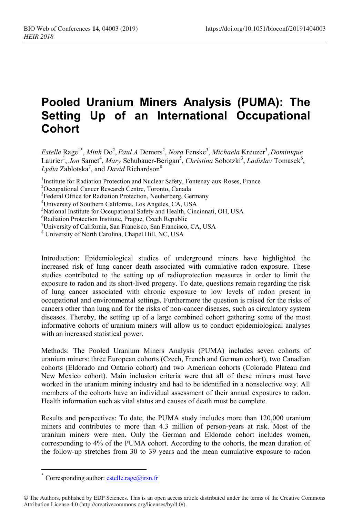## **Pooled Uranium Miners Analysis (PUMA): The Setting Up of an International Occupational Cohort**

 $E$ stelle Rage<sup>1\*</sup>, *Minh* Do<sup>2</sup>, *Paul A* Demers<sup>2</sup>, *Nora* Fenske<sup>3</sup>, *Michaela Kreuzer<sup>3</sup>, Dominique* Laurier<sup>1</sup>, Jon Samet<sup>4</sup>, Mary Schubauer-Berigan<sup>5</sup>, Christina Sobotzki<sup>3</sup>, Ladislav Tomasek<sup>6</sup>, Lydia Zablotska<sup>7</sup>, and *David* Richardson<sup>8</sup>

<sup>1</sup>Institute for Radiation Protection and Nuclear Safety, Fontenay-aux-Roses, France

<sup>6</sup>Radiation Protection Institute, Prague, Czech Republic

<sup>8</sup> University of North Carolina, Chapel Hill, NC, USA

Introduction: Epidemiological studies of underground miners have highlighted the increased risk of lung cancer death associated with cumulative radon exposure. These studies contributed to the setting up of radioprotection measures in order to limit the exposure to radon and its short-lived progeny. To date, questions remain regarding the risk of lung cancer associated with chronic exposure to low levels of radon present in occupational and environmental settings. Furthermore the question is raised for the risks of cancers other than lung and for the risks of non-cancer diseases, such as circulatory system diseases. Thereby, the setting up of a large combined cohort gathering some of the most informative cohorts of uranium miners will allow us to conduct epidemiological analyses with an increased statistical power.

Methods: The Pooled Uranium Miners Analysis (PUMA) includes seven cohorts of uranium miners: three European cohorts (Czech, French and German cohort), two Canadian cohorts (Eldorado and Ontario cohort) and two American cohorts (Colorado Plateau and New Mexico cohort). Main inclusion criteria were that all of these miners must have worked in the uranium mining industry and had to be identified in a nonselective way. All members of the cohorts have an individual assessment of their annual exposures to radon. Health information such as vital status and causes of death must be complete.

Results and perspectives: To date, the PUMA study includes more than 120,000 uranium miners and contributes to more than 4.3 million of person-years at risk. Most of the uranium miners were men. Only the German and Eldorado cohort includes women, corresponding to 4% of the PUMA cohort. According to the cohorts, the mean duration of the follow-up stretches from 30 to 39 years and the mean cumulative exposure to radon

 $\overline{a}$ 

<sup>2</sup>Occupational Cancer Research Centre, Toronto, Canada

<sup>&</sup>lt;sup>3</sup>Federal Office for Radiation Protection, Neuherberg, Germany

<sup>4</sup>University of Southern California, Los Angeles, CA, USA

<sup>&</sup>lt;sup>5</sup>National Institute for Occupational Safety and Health, Cincinnati, OH, USA

<sup>7</sup>University of California, San Francisco, San Francisco, CA, USA

<sup>\*</sup> Corresponding author:  $estelle.\text{rage@irsn.fr}$ 

<sup>©</sup> The Authors, published by EDP Sciences. This is an open access article distributed under the terms of the Creative Commons Attribution License 4.0 (http://creativecommons.org/licenses/by/4.0/).